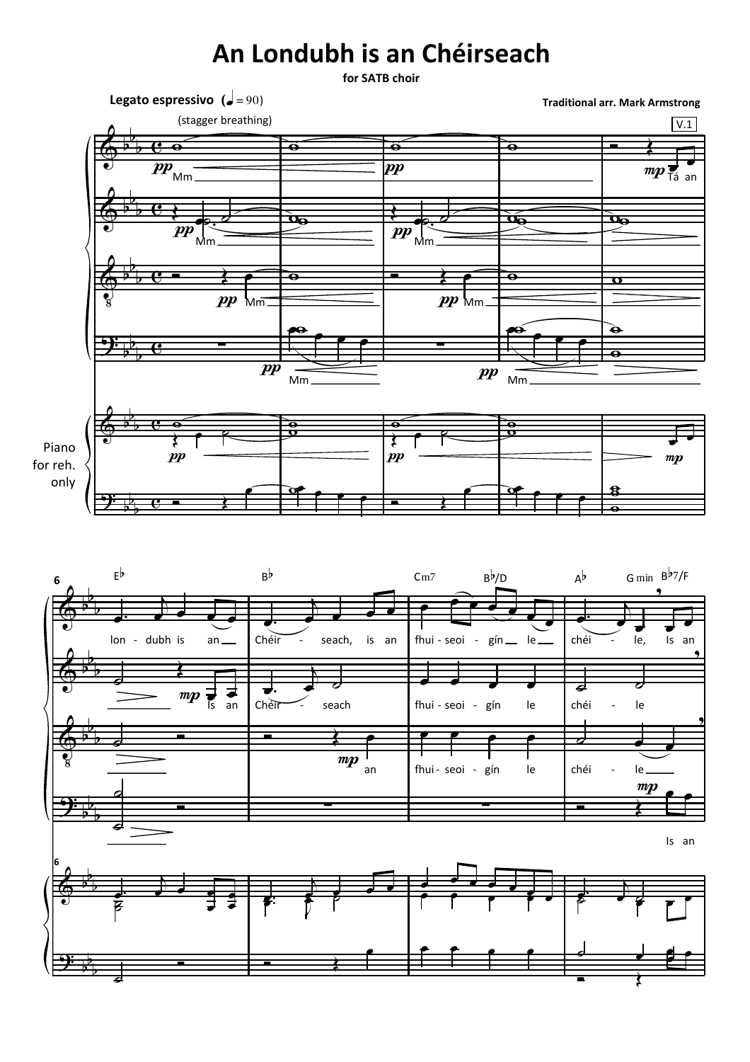## **An Londubh is an Chéirseach**





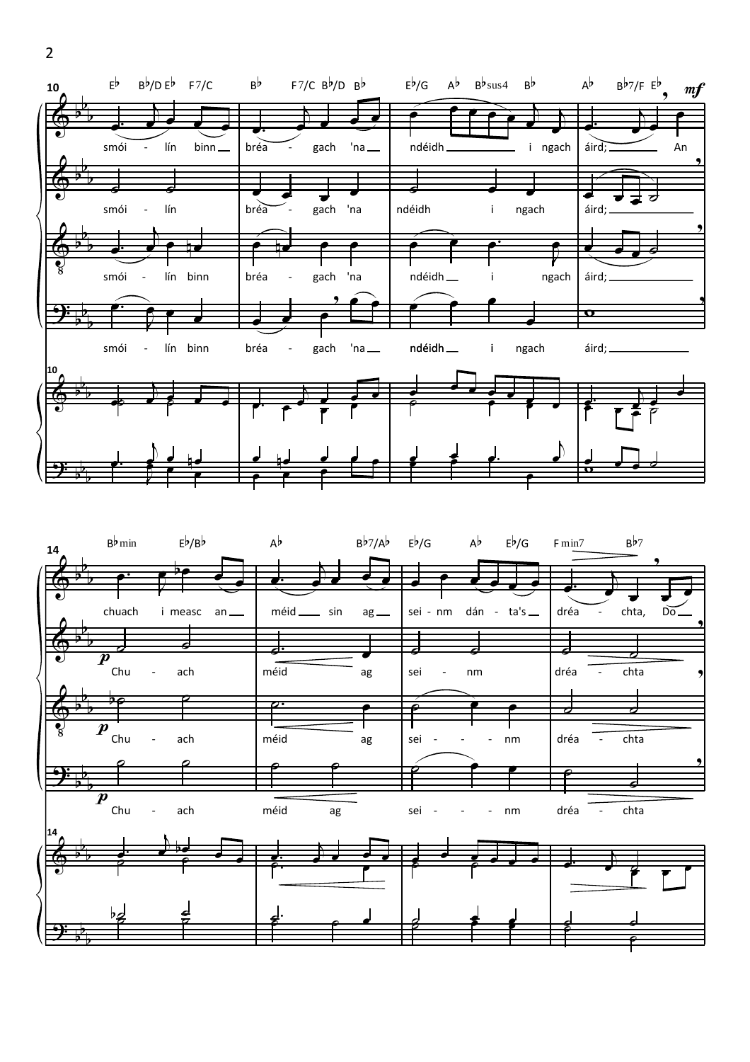2



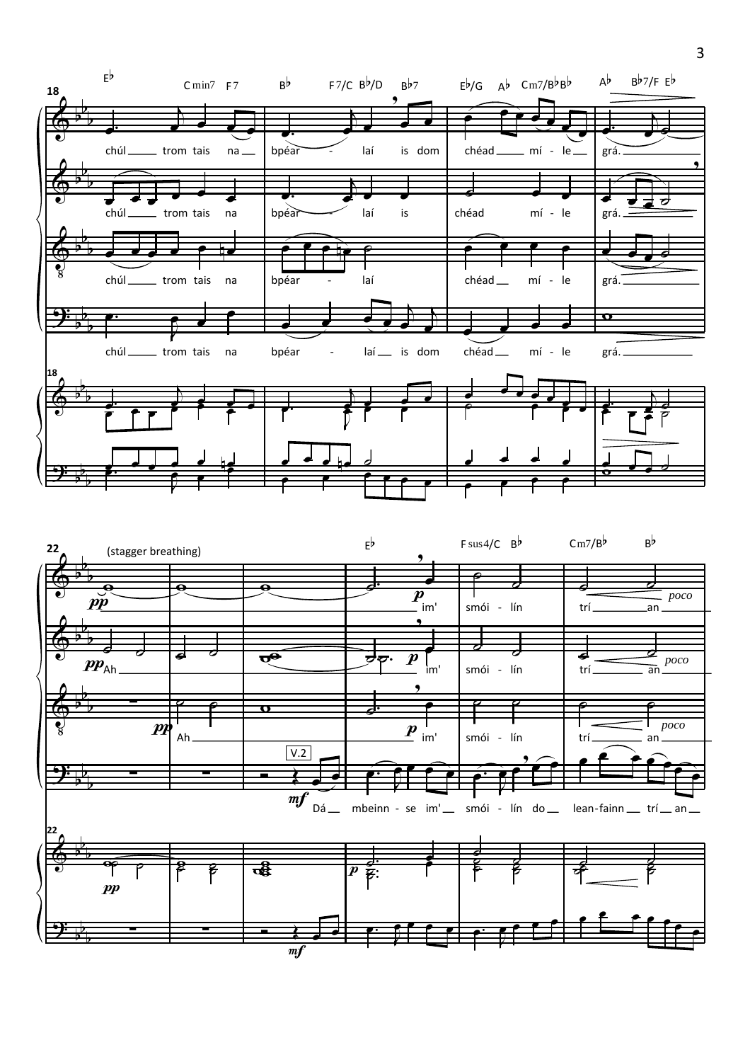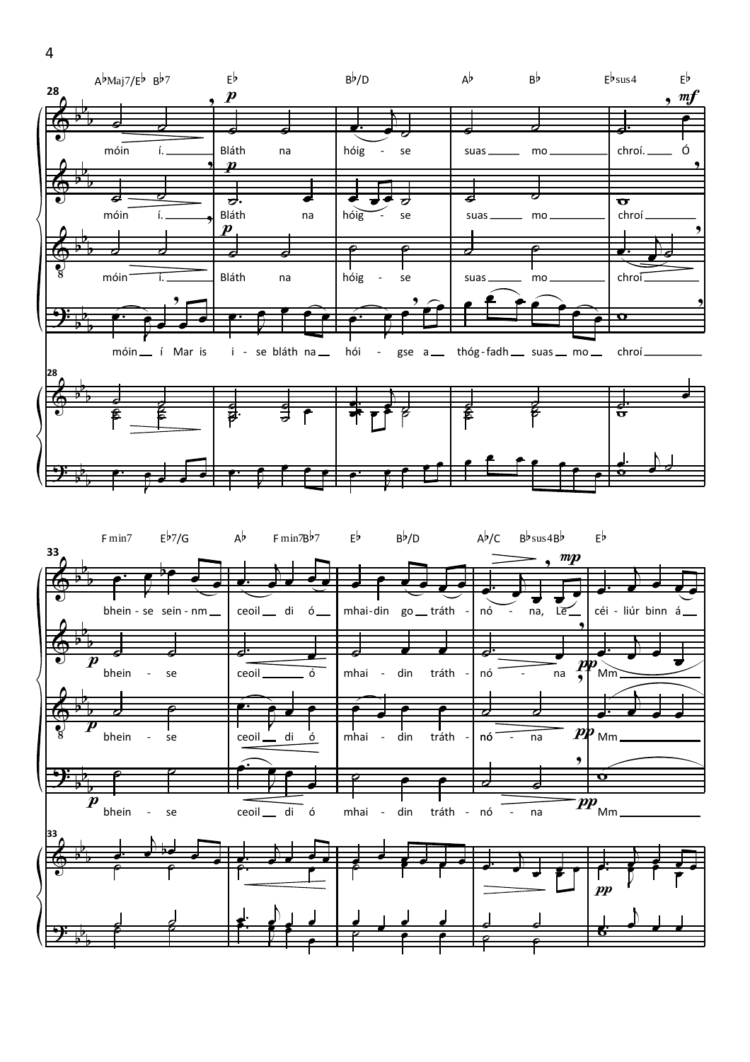4

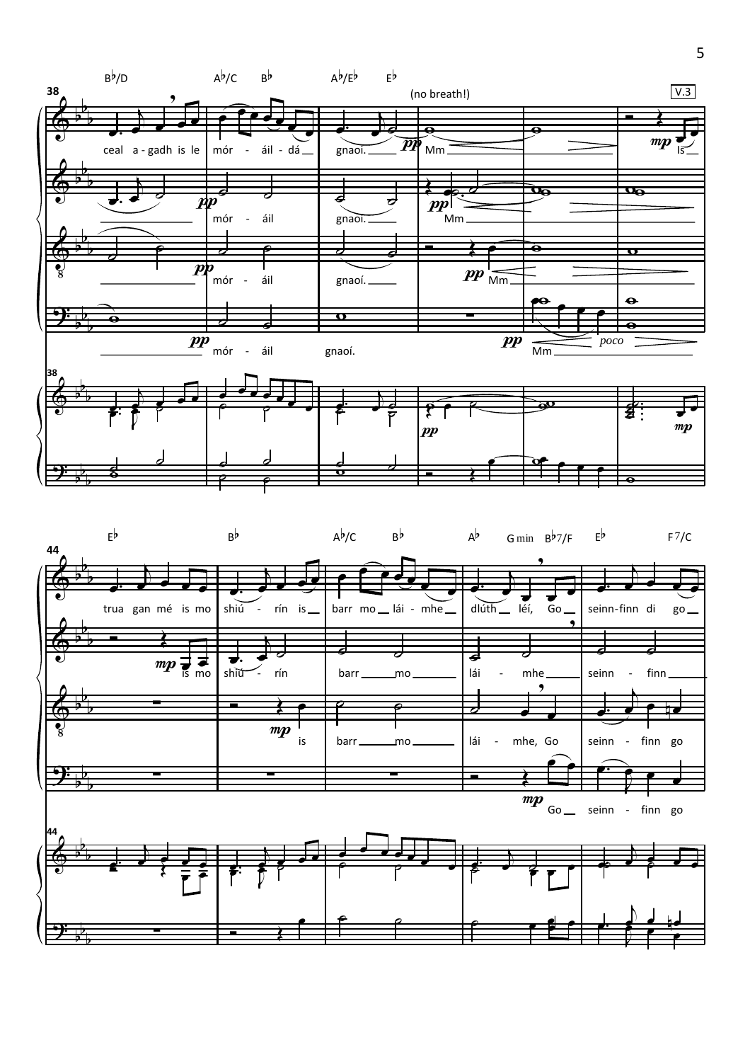

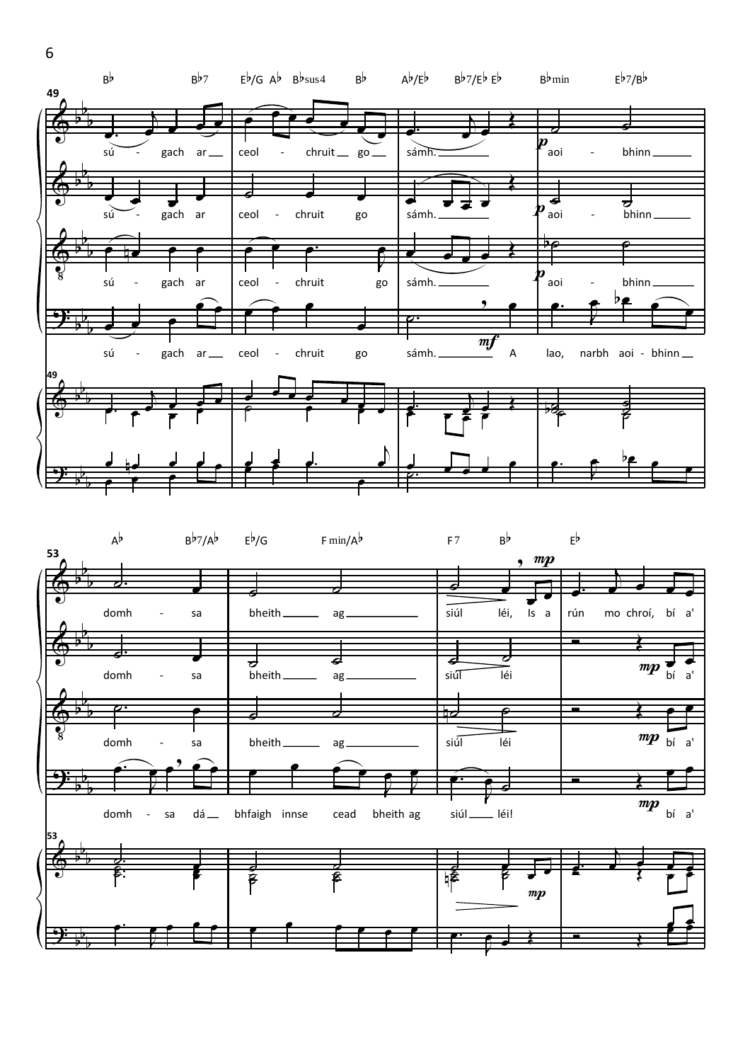



6